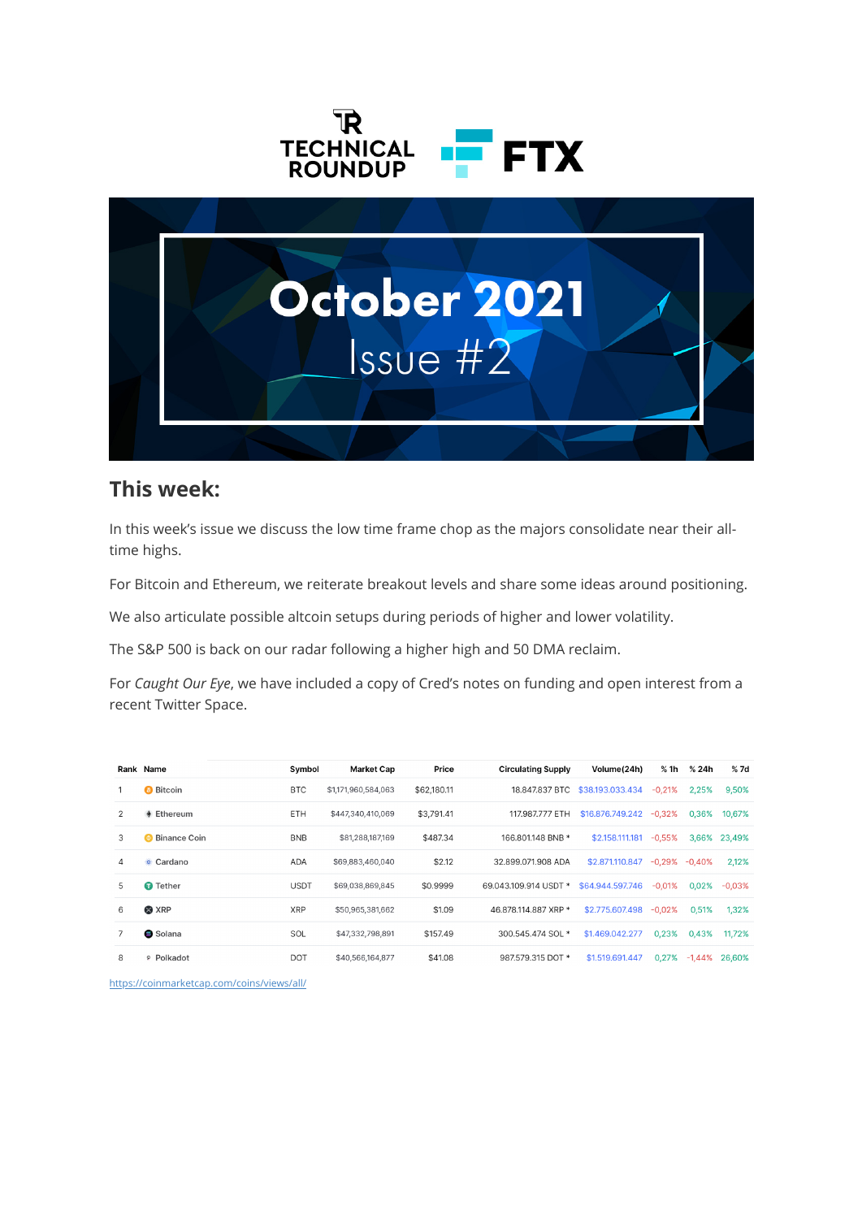



#### **This week:**

In this week's issue we discuss the low time frame chop as the majors consolidate near their alltime highs.

For Bitcoin and Ethereum, we reiterate breakout levels and share some ideas around positioning.

We also articulate possible altcoin setups during periods of higher and lower volatility.

The S&P 500 is back on our radar following a higher high and 50 DMA reclaim.

For *Caught Our Eye*, we have included a copy of Cred's notes on funding and open interest from a recent Twitter Space.

|                | Rank Name             | Symbol      | <b>Market Cap</b>   | Price       | <b>Circulating Supply</b> | Volume(24h)      | % 1h     | % 24h     | %7d          |
|----------------|-----------------------|-------------|---------------------|-------------|---------------------------|------------------|----------|-----------|--------------|
|                | <b>Bitcoin</b>        | <b>BTC</b>  | \$1,171,960,584,063 | \$62,180.11 | 18,847,837 BTC            | \$38.193.033.434 | $-0.21%$ | 2.25%     | 9,50%        |
| 2              | $\triangleq$ Ethereum | ETH         | \$447,340,410,069   | \$3,791.41  | 117,987,777 ETH           | \$16,876,749,242 | $-0.32%$ | 0.36%     | 10.67%       |
| 3              | <b>Binance Coin</b>   | <b>BNB</b>  | \$81,288,187,169    | \$487.34    | 166.801.148 BNB *         | \$2,158,111,181  | $-0.55%$ |           | 3.66% 23.49% |
| $\overline{4}$ | ☀ Cardano             | <b>ADA</b>  | \$69,883,460,040    | \$2.12      | 32.899.071.908 ADA        | \$2,871,110,847  | -0.29%   | $-0.40%$  | 2,12%        |
| 5              | <b>O</b> Tether       | <b>USDT</b> | \$69,038,869,845    | \$0.9999    | 69.043.109.914 USDT *     | \$64.944.597.746 | $-0.01%$ | 0.02%     | $-0.03%$     |
| 6              | <b>&amp; XRP</b>      | <b>XRP</b>  | \$50,965,381,662    | \$1.09      | 46.878.114.887 XRP *      | \$2.775.607.498  | $-0.02%$ | 0.51%     | 1.32%        |
| 7              | <b>B</b> Solana       | SOL         | \$47,332,798,891    | \$157.49    | 300.545.474 SOL *         | \$1,469,042,277  | 0.23%    | 0.43%     | 11.72%       |
| 8              | P Polkadot            | <b>DOT</b>  | \$40,566,164,877    | \$41.08     | 987.579.315 DOT *         | \$1,519,691,447  | 0.27%    | $-1.44\%$ | 26.60%       |

<https://coinmarketcap.com/coins/views/all/>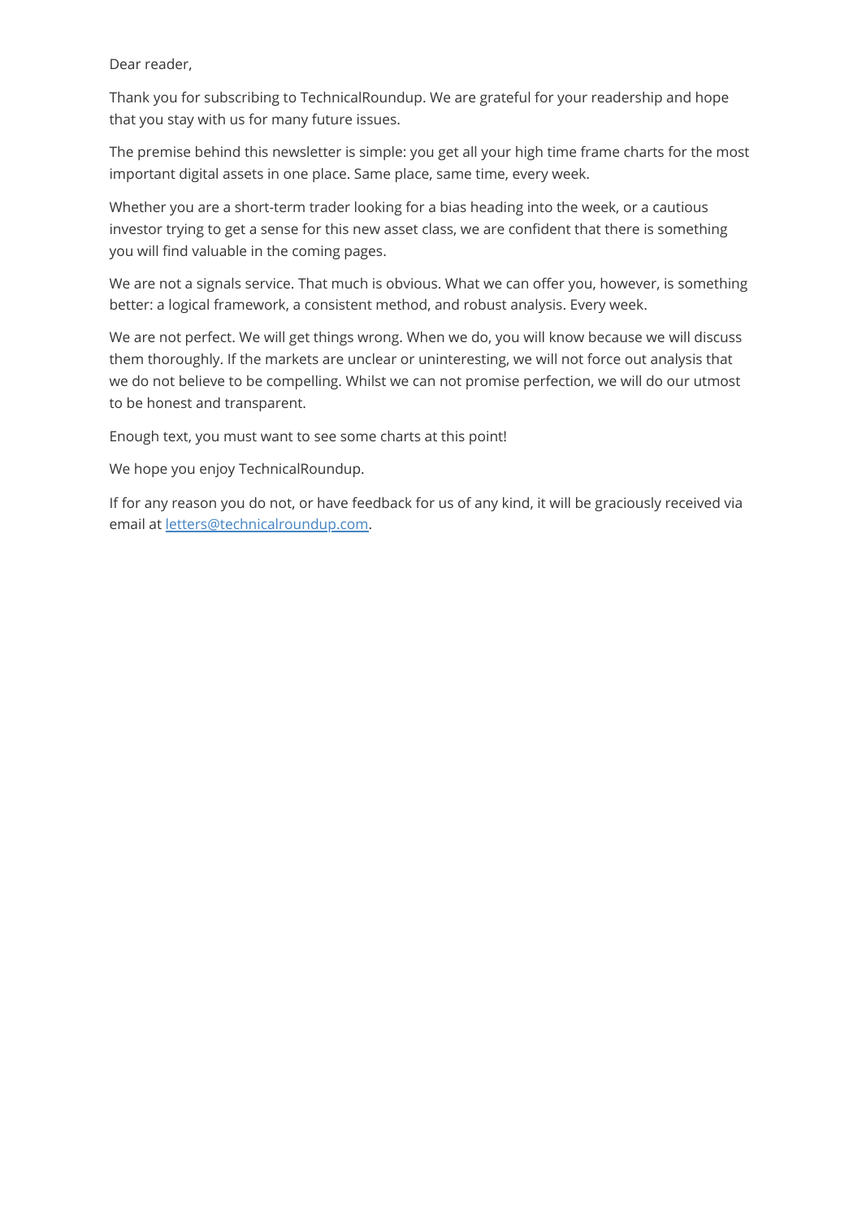Dear reader,

Thank you for subscribing to TechnicalRoundup. We are grateful for your readership and hope that you stay with us for many future issues.

The premise behind this newsletter is simple: you get all your high time frame charts for the most important digital assets in one place. Same place, same time, every week.

Whether you are a short-term trader looking for a bias heading into the week, or a cautious investor trying to get a sense for this new asset class, we are confident that there is something you will find valuable in the coming pages.

We are not a signals service. That much is obvious. What we can offer you, however, is something better: a logical framework, a consistent method, and robust analysis. Every week.

We are not perfect. We will get things wrong. When we do, you will know because we will discuss them thoroughly. If the markets are unclear or uninteresting, we will not force out analysis that we do not believe to be compelling. Whilst we can not promise perfection, we will do our utmost to be honest and transparent.

Enough text, you must want to see some charts at this point!

We hope you enjoy TechnicalRoundup.

If for any reason you do not, or have feedback for us of any kind, it will be graciously received via email at [letters@technicalroundup.com.](mailto:letters@technicalroundup.com)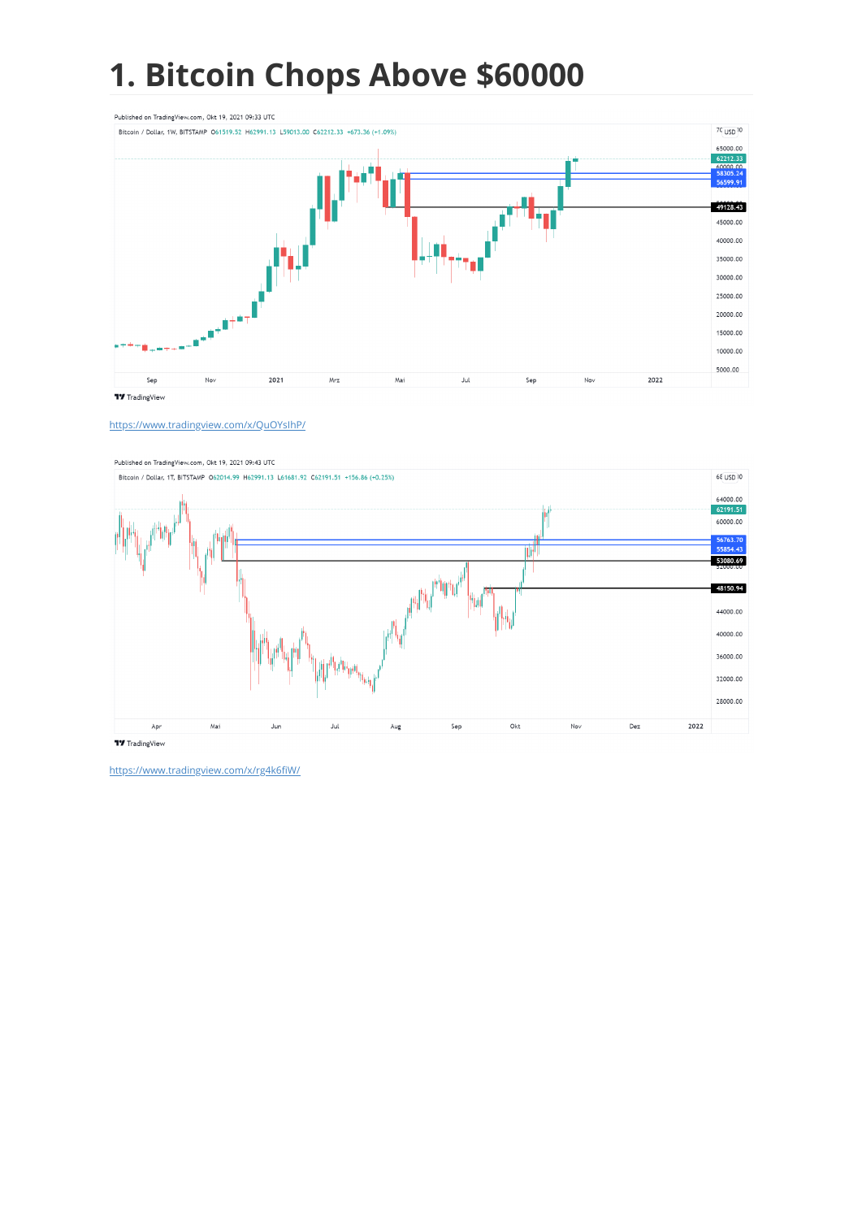# **1. Bitcoin Chops Above \$60000**



<https://www.tradingview.com/x/QuOYsIhP/>

Published on TradingView.com, Okt 19, 2021 09:43 UTC



<https://www.tradingview.com/x/rg4k6fiW/>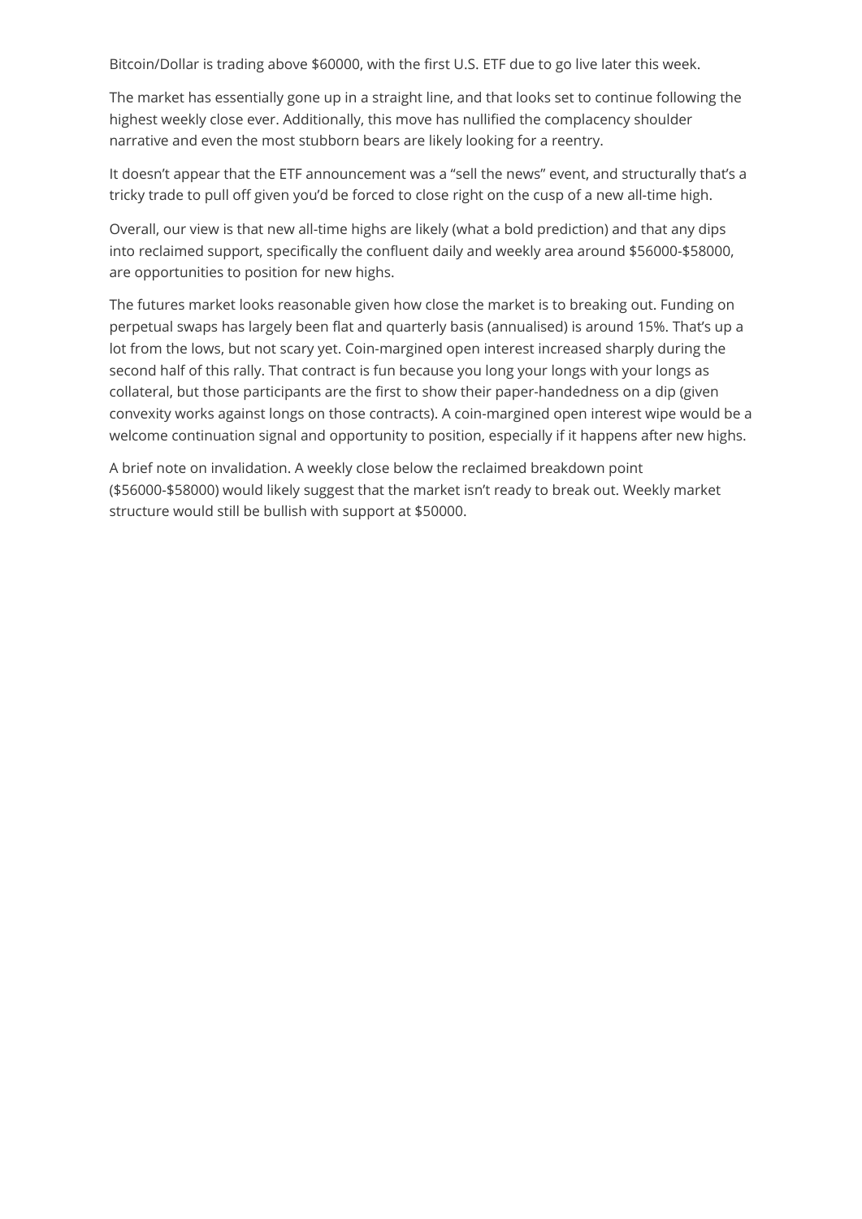Bitcoin/Dollar is trading above \$60000, with the first U.S. ETF due to go live later this week.

The market has essentially gone up in a straight line, and that looks set to continue following the highest weekly close ever. Additionally, this move has nullified the complacency shoulder narrative and even the most stubborn bears are likely looking for a reentry.

It doesn't appear that the ETF announcement was a "sell the news" event, and structurally that's a tricky trade to pull off given you'd be forced to close right on the cusp of a new all-time high.

Overall, our view is that new all-time highs are likely (what a bold prediction) and that any dips into reclaimed support, specifically the confluent daily and weekly area around \$56000-\$58000, are opportunities to position for new highs.

The futures market looks reasonable given how close the market is to breaking out. Funding on perpetual swaps has largely been flat and quarterly basis (annualised) is around 15%. That's up a lot from the lows, but not scary yet. Coin-margined open interest increased sharply during the second half of this rally. That contract is fun because you long your longs with your longs as collateral, but those participants are the first to show their paper-handedness on a dip (given convexity works against longs on those contracts). A coin-margined open interest wipe would be a welcome continuation signal and opportunity to position, especially if it happens after new highs.

A brief note on invalidation. A weekly close below the reclaimed breakdown point (\$56000-\$58000) would likely suggest that the market isn't ready to break out. Weekly market structure would still be bullish with support at \$50000.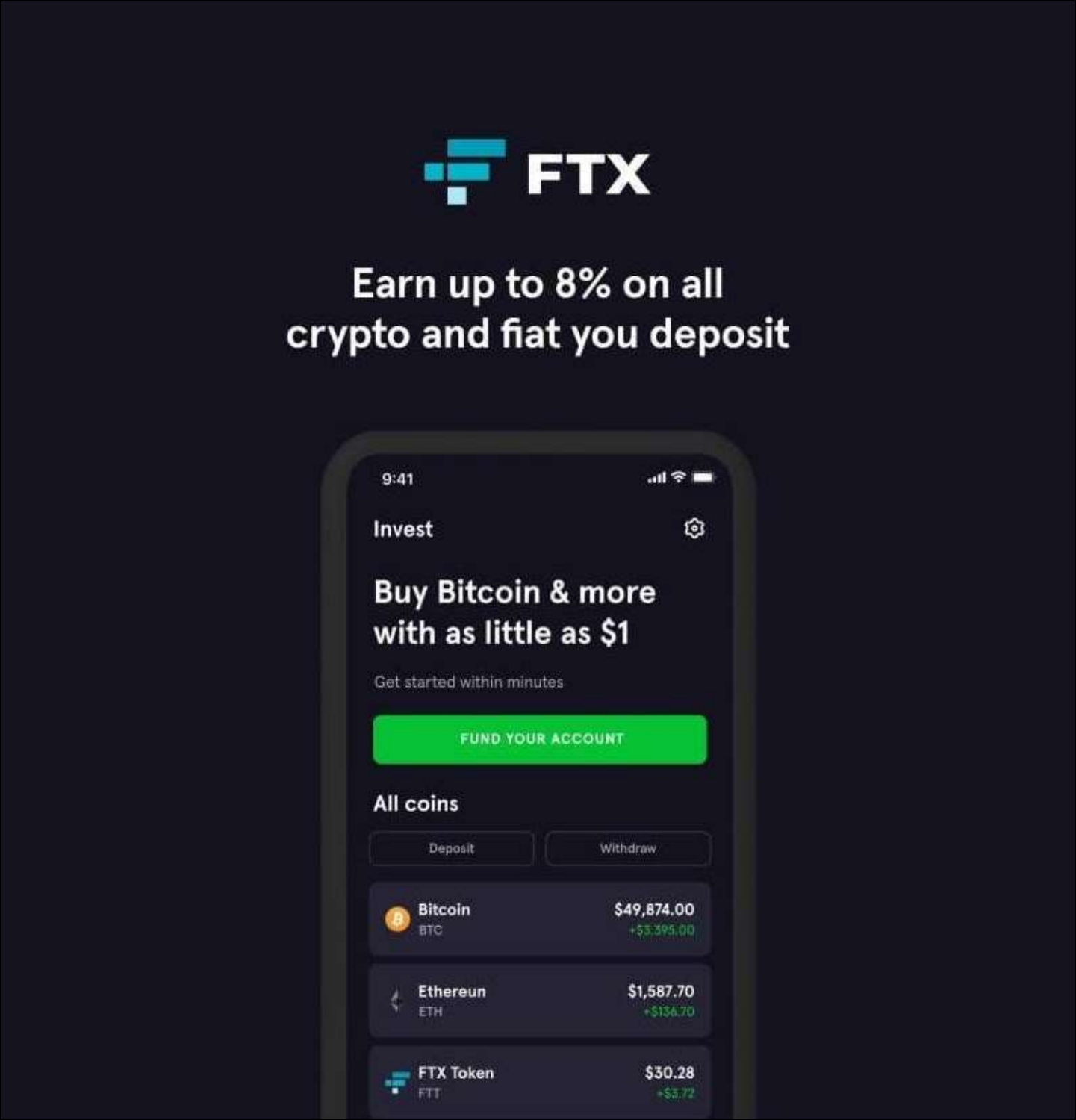

## Earn up to 8% on all crypto and fiat you deposit

| Invest                        | ឲ                        |
|-------------------------------|--------------------------|
| <b>Buy Bitcoin &amp; more</b> |                          |
| with as little as \$1         |                          |
| Get started within minutes    |                          |
|                               |                          |
|                               | <b>FUND YOUR ACCOUNT</b> |
|                               |                          |
| <b>All coins</b>              |                          |
| Deposit                       | Withdraw                 |
| <b>Bitcoin</b>                | \$49,874.00              |
| œ<br>are                      | $+53.395.00$             |
| Ethereun                      | \$1,587.70               |
| ETH                           | \$136.70                 |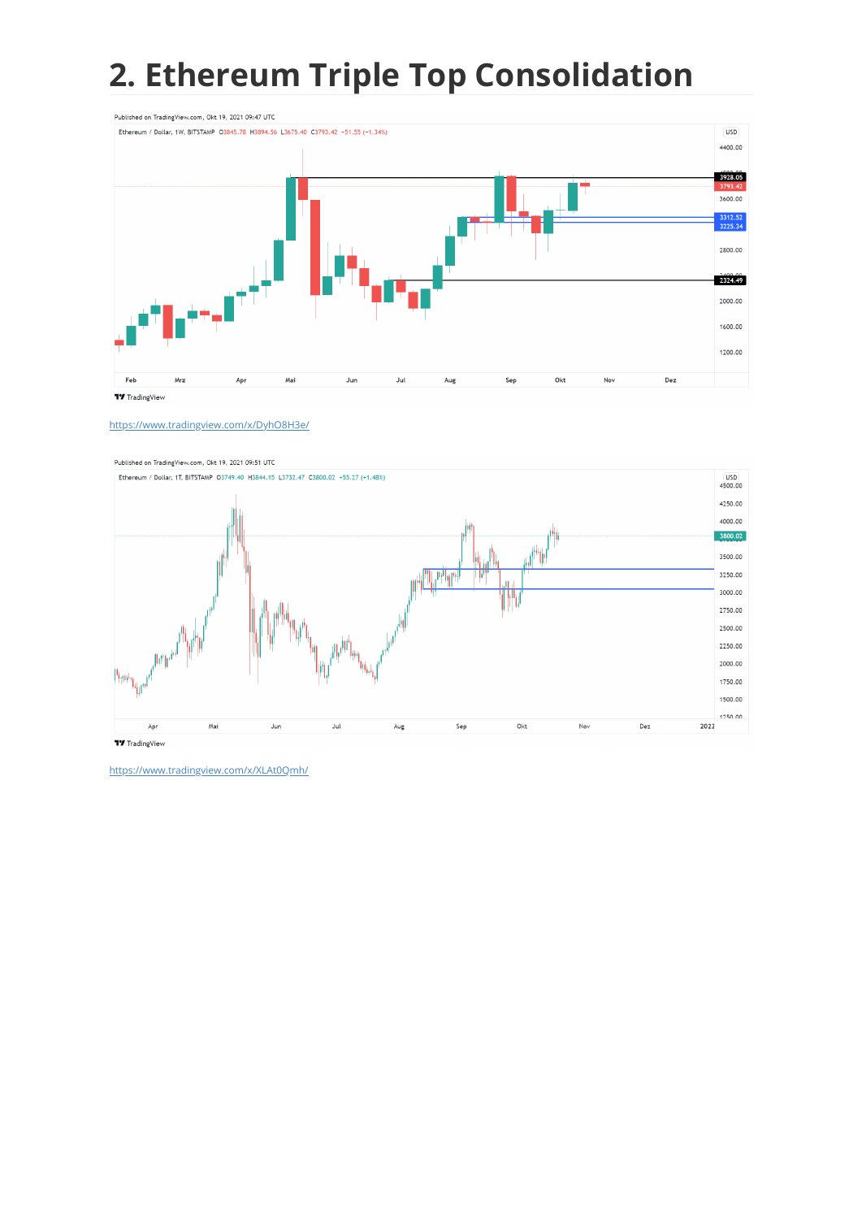## **2. Ethereum Triple Top Consolidation**



<https://www.tradingview.com/x/DyhO8H3e/>



<https://www.tradingview.com/x/XLAt0Qmh/>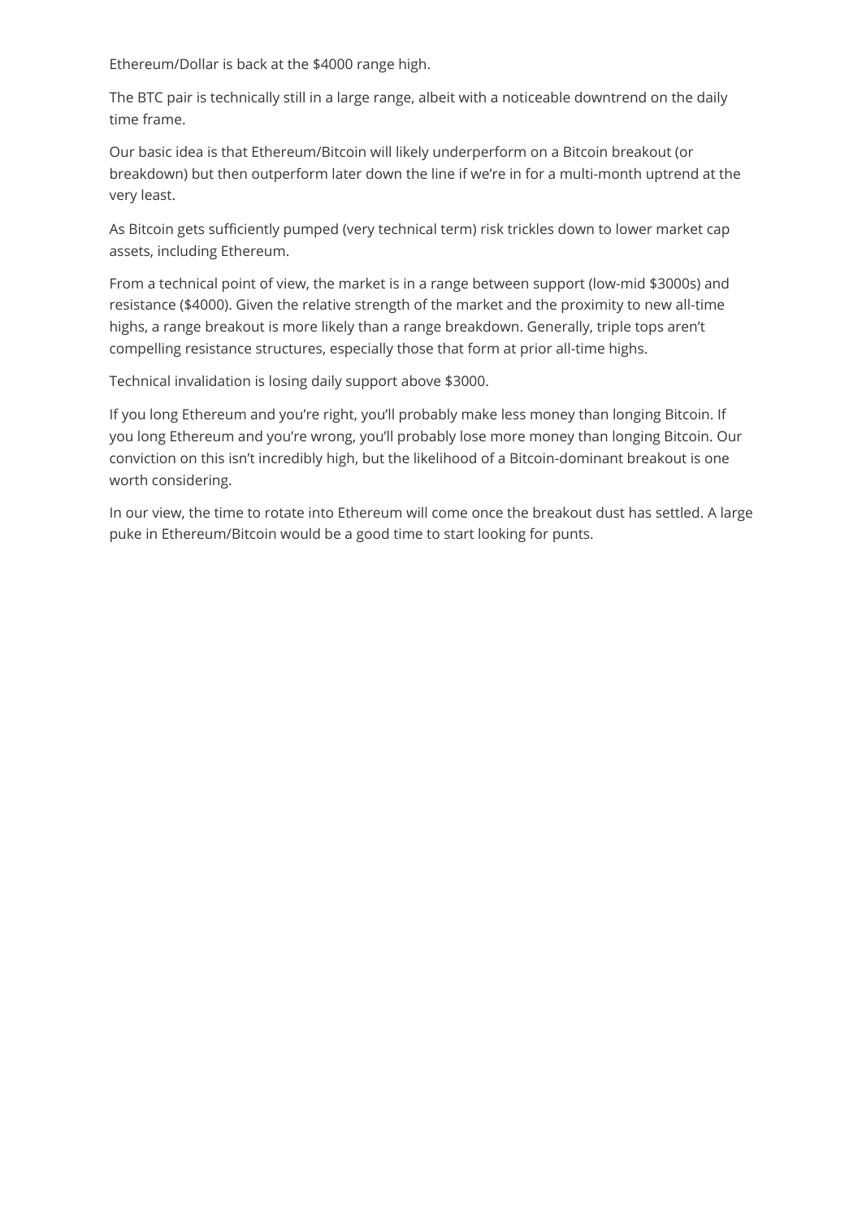Ethereum/Dollar is back at the \$4000 range high.

The BTC pair is technically still in a large range, albeit with a noticeable downtrend on the daily time frame.

Our basic idea is that Ethereum/Bitcoin will likely underperform on a Bitcoin breakout (or breakdown) but then outperform later down the line if we're in for a multi-month uptrend at the very least.

As Bitcoin gets sufficiently pumped (very technical term) risk trickles down to lower market cap assets, including Ethereum.

From a technical point of view, the market is in a range between support (low-mid \$3000s) and resistance (\$4000). Given the relative strength of the market and the proximity to new all-time highs, a range breakout is more likely than a range breakdown. Generally, triple tops aren't compelling resistance structures, especially those that form at prior all-time highs.

Technical invalidation is losing daily support above \$3000.

If you long Ethereum and you're right, you'll probably make less money than longing Bitcoin. If you long Ethereum and you're wrong, you'll probably lose more money than longing Bitcoin. Our conviction on this isn't incredibly high, but the likelihood of a Bitcoin-dominant breakout is one worth considering.

In our view, the time to rotate into Ethereum will come once the breakout dust has settled. A large puke in Ethereum/Bitcoin would be a good time to start looking for punts.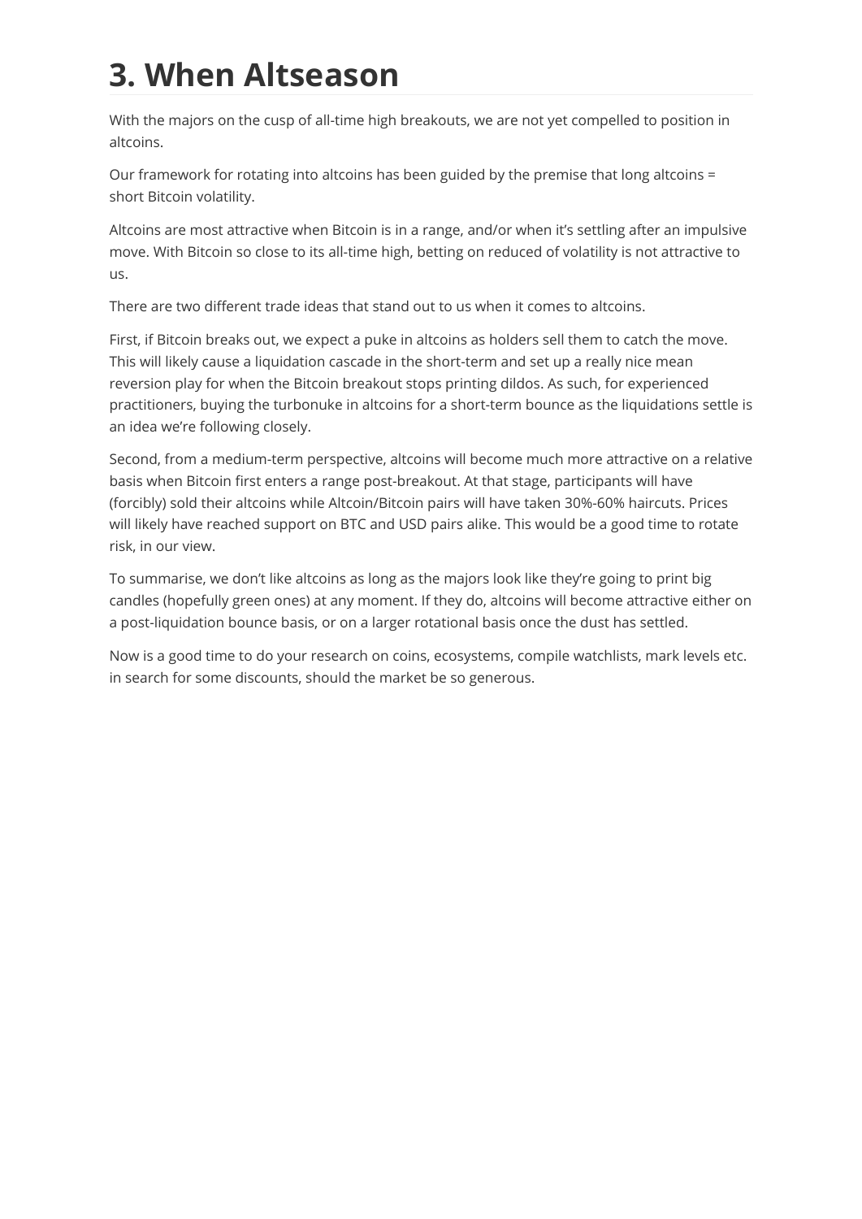# **3. When Altseason**

With the majors on the cusp of all-time high breakouts, we are not yet compelled to position in altcoins.

Our framework for rotating into altcoins has been guided by the premise that long altcoins = short Bitcoin volatility.

Altcoins are most attractive when Bitcoin is in a range, and/or when it's settling after an impulsive move. With Bitcoin so close to its all-time high, betting on reduced of volatility is not attractive to us.

There are two different trade ideas that stand out to us when it comes to altcoins.

First, if Bitcoin breaks out, we expect a puke in altcoins as holders sell them to catch the move. This will likely cause a liquidation cascade in the short-term and set up a really nice mean reversion play for when the Bitcoin breakout stops printing dildos. As such, for experienced practitioners, buying the turbonuke in altcoins for a short-term bounce as the liquidations settle is an idea we're following closely.

Second, from a medium-term perspective, altcoins will become much more attractive on a relative basis when Bitcoin first enters a range post-breakout. At that stage, participants will have (forcibly) sold their altcoins while Altcoin/Bitcoin pairs will have taken 30%-60% haircuts. Prices will likely have reached support on BTC and USD pairs alike. This would be a good time to rotate risk, in our view.

To summarise, we don't like altcoins as long as the majors look like they're going to print big candles (hopefully green ones) at any moment. If they do, altcoins will become attractive either on a post-liquidation bounce basis, or on a larger rotational basis once the dust has settled.

Now is a good time to do your research on coins, ecosystems, compile watchlists, mark levels etc. in search for some discounts, should the market be so generous.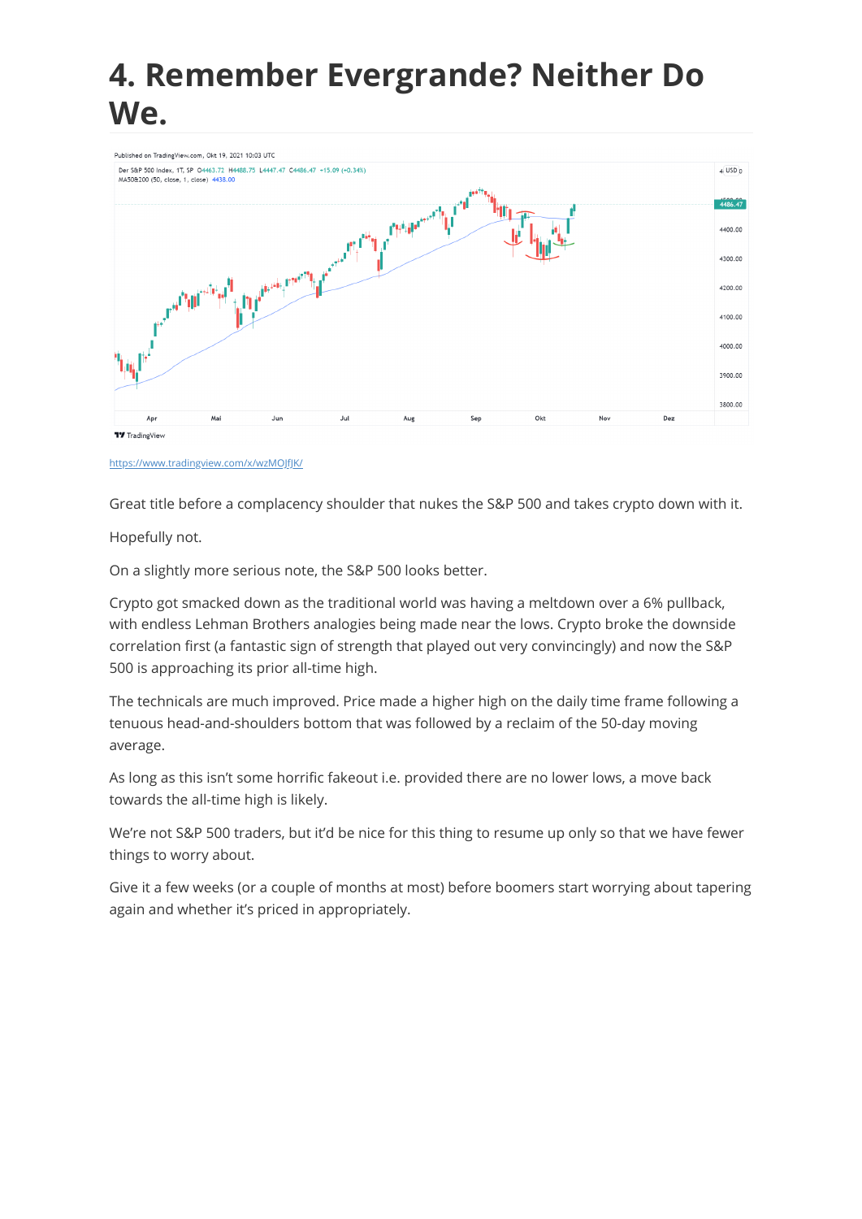#### **4. Remember Evergrande? Neither Do We.**



<https://www.tradingview.com/x/wzMOJfJK/>

Great title before a complacency shoulder that nukes the S&P 500 and takes crypto down with it.

Hopefully not.

On a slightly more serious note, the S&P 500 looks better.

Crypto got smacked down as the traditional world was having a meltdown over a 6% pullback, with endless Lehman Brothers analogies being made near the lows. Crypto broke the downside correlation first (a fantastic sign of strength that played out very convincingly) and now the S&P 500 is approaching its prior all-time high.

The technicals are much improved. Price made a higher high on the daily time frame following a tenuous head-and-shoulders bottom that was followed by a reclaim of the 50-day moving average.

As long as this isn't some horrific fakeout i.e. provided there are no lower lows, a move back towards the all-time high is likely.

We're not S&P 500 traders, but it'd be nice for this thing to resume up only so that we have fewer things to worry about.

Give it a few weeks (or a couple of months at most) before boomers start worrying about tapering again and whether it's priced in appropriately.